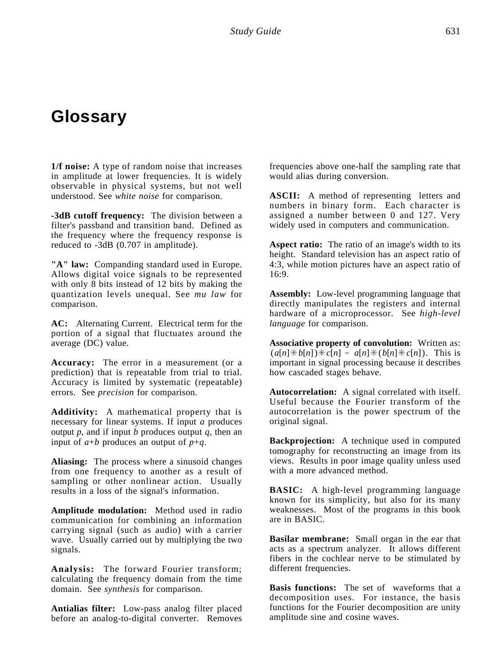## **Glossary**

**1/f noise:** A type of random noise that increases in amplitude at lower frequencies. It is widely observable in physical systems, but not well understood. See *white noise* for comparison.

**-3dB cutoff frequency:** The division between a filter's passband and transition band. Defined as the frequency where the frequency response is reduced to -3dB (0.707 in amplitude).

**"A" law:** Companding standard used in Europe. Allows digital voice signals to be represented with only 8 bits instead of 12 bits by making the quantization levels unequal. See *mu law* for comparison.

**AC:** Alternating Current. Electrical term for the portion of a signal that fluctuates around the average (DC) value.

**Accuracy:** The error in a measurement (or a prediction) that is repeatable from trial to trial. Accuracy is limited by systematic (repeatable) errors. See *precision* for comparison.

**Additivity:** A mathematical property that is necessary for linear systems. If input *a* produces output  $p$ , and if input  $b$  produces output  $q$ , then an input of  $a+b$  produces an output of  $p+q$ .

**Aliasing:** The process where a sinusoid changes from one frequency to another as a result of sampling or other nonlinear action. Usually results in a loss of the signal's information.

**Amplitude modulation:** Method used in radio communication for combining an information carrying signal (such as audio) with a carrier wave. Usually carried out by multiplying the two signals.

**Analysis:** The forward Fourier transform; calculating the frequency domain from the time domain. See *synthesis* for comparison.

**Antialias filter:** Low-pass analog filter placed before an analog-to-digital converter. Removes frequencies above one-half the sampling rate that would alias during conversion.

**ASCII:** A method of representing letters and numbers in binary form. Each character is assigned a number between 0 and 127. Very widely used in computers and communication.

**Aspect ratio:** The ratio of an image's width to its height. Standard television has an aspect ratio of 4:3, while motion pictures have an aspect ratio of 16:9.

**Assembly:** Low-level programming language that directly manipulates the registers and internal hardware of a microprocessor. See *high-level language* for comparison.

**Associative property of convolution:** Written as:  $(a[n]\cdot b[n])\cdot c[n] = a[n]\cdot b[n]\cdot c[n]$ . This is important in signal processing because it describes how cascaded stages behave.

**Autocorrelation:** A signal correlated with itself. Useful because the Fourier transform of the autocorrelation is the power spectrum of the original signal.

**Backprojection:** A technique used in computed tomography for reconstructing an image from its views. Results in poor image quality unless used with a more advanced method.

**BASIC:** A high-level programming language known for its simplicity, but also for its many weaknesses. Most of the programs in this book are in BASIC.

**Basilar membrane:** Small organ in the ear that acts as a spectrum analyzer. It allows different fibers in the cochlear nerve to be stimulated by different frequencies.

**Basis functions:** The set of waveforms that a decomposition uses. For instance, the basis functions for the Fourier decomposition are unity amplitude sine and cosine waves.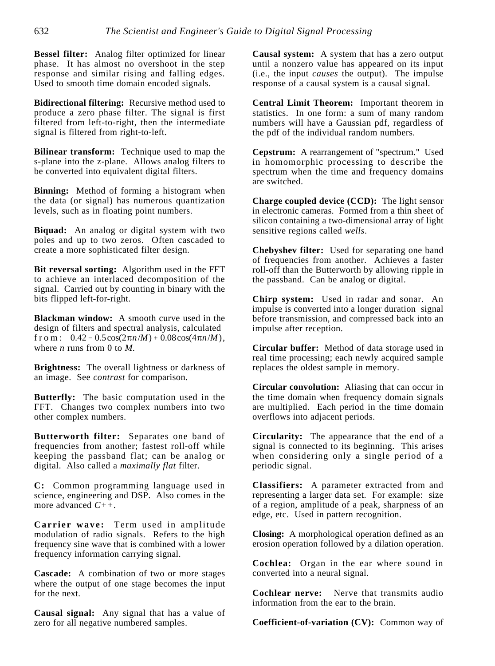**Bessel filter:** Analog filter optimized for linear phase. It has almost no overshoot in the step response and similar rising and falling edges. Used to smooth time domain encoded signals.

**Bidirectional filtering:** Recursive method used to produce a zero phase filter. The signal is first filtered from left-to-right, then the intermediate signal is filtered from right-to-left.

**Bilinear transform:** Technique used to map the s-plane into the z-plane. Allows analog filters to be converted into equivalent digital filters.

**Binning:** Method of forming a histogram when the data (or signal) has numerous quantization levels, such as in floating point numbers.

**Biquad:** An analog or digital system with two poles and up to two zeros. Often cascaded to create a more sophisticated filter design.

**Bit reversal sorting:** Algorithm used in the FFT to achieve an interlaced decomposition of the signal. Carried out by counting in binary with the bits flipped left-for-right.

**Blackman window:** A smooth curve used in the design of filters and spectral analysis, calculated from:  $0.42 - 0.5\cos(2\pi n/M) + 0.08\cos(4\pi n/M)$ , where *n* runs from 0 to *M*.

**Brightness:** The overall lightness or darkness of an image. See *contrast* for comparison.

**Butterfly:** The basic computation used in the FFT. Changes two complex numbers into two other complex numbers.

**Butterworth filter:** Separates one band of frequencies from another; fastest roll-off while keeping the passband flat; can be analog or digital. Also called a *maximally flat* filter.

**C:** Common programming language used in science, engineering and DSP. Also comes in the more advanced *C++*.

**Carrier wave:** Term used in amplitude modulation of radio signals. Refers to the high frequency sine wave that is combined with a lower frequency information carrying signal.

**Cascade:** A combination of two or more stages where the output of one stage becomes the input for the next.

**Causal signal:** Any signal that has a value of zero for all negative numbered samples.

**Causal system:** A system that has a zero output until a nonzero value has appeared on its input (i.e., the input *causes* the output). The impulse response of a causal system is a causal signal.

**Central Limit Theorem:** Important theorem in statistics. In one form: a sum of many random numbers will have a Gaussian pdf, regardless of the pdf of the individual random numbers.

**Cepstrum:** A rearrangement of "spectrum." Used in homomorphic processing to describe the spectrum when the time and frequency domains are switched.

**Charge coupled device (CCD):** The light sensor in electronic cameras. Formed from a thin sheet of silicon containing a two-dimensional array of light sensitive regions called *wells*.

**Chebyshev filter:** Used for separating one band of frequencies from another. Achieves a faster roll-off than the Butterworth by allowing ripple in the passband. Can be analog or digital.

**Chirp system:** Used in radar and sonar. An impulse is converted into a longer duration signal before transmission, and compressed back into an impulse after reception.

**Circular buffer:** Method of data storage used in real time processing; each newly acquired sample replaces the oldest sample in memory.

**Circular convolution:** Aliasing that can occur in the time domain when frequency domain signals are multiplied. Each period in the time domain overflows into adjacent periods.

**Circularity:** The appearance that the end of a signal is connected to its beginning. This arises when considering only a single period of a periodic signal.

**Classifiers:** A parameter extracted from and representing a larger data set. For example: size of a region, amplitude of a peak, sharpness of an edge, etc. Used in pattern recognition.

**Closing:** A morphological operation defined as an erosion operation followed by a dilation operation.

**Cochlea:** Organ in the ear where sound in converted into a neural signal.

**Cochlear nerve:** Nerve that transmits audio information from the ear to the brain.

**Coefficient-of-variation (CV):** Common way of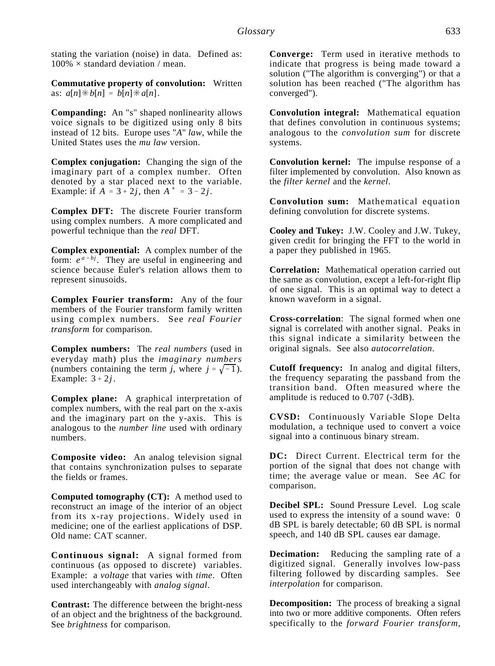stating the variation (noise) in data. Defined as:  $100\% \times$  standard deviation / mean.

**Commutative property of convolution:** Written as:  $a[n] * b[n] = b[n] * a[n].$ 

**Companding:** An "s" shaped nonlinearity allows voice signals to be digitized using only 8 bits instead of 12 bits. Europe uses "*A*" *law*, while the United States uses the *mu law* version.

**Complex conjugation:** Changing the sign of the imaginary part of a complex number. Often denoted by a star placed next to the variable. Example: if  $A = 3 + 2j$ , then  $A^* = 3 - 2j$ .

**Complex DFT:** The discrete Fourier transform using complex numbers. A more complicated and powerful technique than the *real* DFT.

**Complex exponential:** A complex number of the form:  $e^{a + bj}$ . They are useful in engineering and science because Euler's relation allows them to represent sinusoids.

**Complex Fourier transform:** Any of the four members of the Fourier transform family written using complex numbers. See *real Fourier transform* for comparison.

**Complex numbers:** The *real numbers* (used in everyday math) plus the *imaginary numbers* (numbers containing the term *j*, where  $j = \sqrt{-1}$ ). Example:  $3 + 2j$ .

**Complex plane:** A graphical interpretation of complex numbers, with the real part on the x-axis and the imaginary part on the y-axis. This is analogous to the *number line* used with ordinary numbers.

**Composite video:** An analog television signal that contains synchronization pulses to separate the fields or frames.

**Computed tomography (CT):** A method used to reconstruct an image of the interior of an object from its x-ray projections. Widely used in medicine; one of the earliest applications of DSP. Old name: CAT scanner.

**Continuous signal:** A signal formed from continuous (as opposed to discrete) variables. Example: a *voltage* that varies with *time*. Often used interchangeably with *analog signal*.

**Contrast:** The difference between the bright-ness of an object and the brightness of the background. See *brightness* for comparison.

**Converge:** Term used in iterative methods to indicate that progress is being made toward a solution ("The algorithm is converging") or that a solution has been reached ("The algorithm has converged").

**Convolution integral:** Mathematical equation that defines convolution in continuous systems; analogous to the *convolution sum* for discrete systems.

**Convolution kernel:** The impulse response of a filter implemented by convolution. Also known as the *filter kernel* and the *kernel*.

**Convolution sum:** Mathematical equation defining convolution for discrete systems.

**Cooley and Tukey:** J.W. Cooley and J.W. Tukey, given credit for bringing the FFT to the world in a paper they published in 1965.

**Correlation:** Mathematical operation carried out the same as convolution, except a left-for-right flip of one signal. This is an optimal way to detect a known waveform in a signal.

**Cross-correlation**: The signal formed when one signal is correlated with another signal. Peaks in this signal indicate a similarity between the original signals. See also *autocorrelation*.

**Cutoff frequency:** In analog and digital filters, the frequency separating the passband from the transition band. Often measured where the amplitude is reduced to 0.707 (-3dB).

**CVSD:** Continuously Variable Slope Delta modulation, a technique used to convert a voice signal into a continuous binary stream.

**DC:** Direct Current. Electrical term for the portion of the signal that does not change with time; the average value or mean. See *AC* for comparison.

**Decibel SPL:** Sound Pressure Level. Log scale used to express the intensity of a sound wave: 0 dB SPL is barely detectable; 60 dB SPL is normal speech, and 140 dB SPL causes ear damage.

**Decimation:** Reducing the sampling rate of a digitized signal. Generally involves low-pass filtering followed by discarding samples. See *interpolation* for comparison.

**Decomposition:** The process of breaking a signal into two or more additive components. Often refers specifically to the *forward Fourier transform*,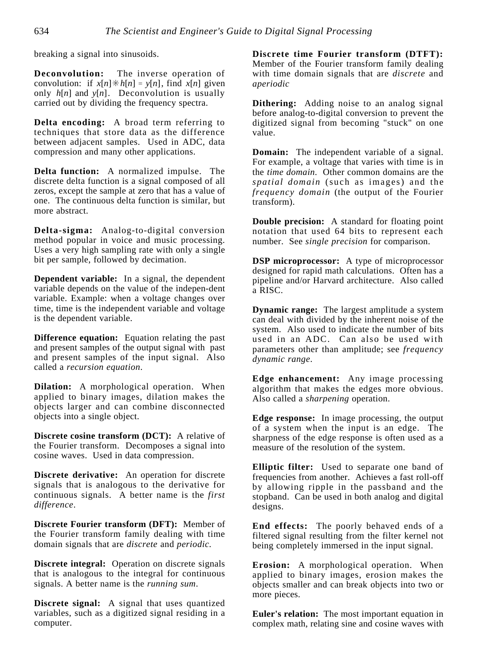breaking a signal into sinusoids.

**Deconvolution:** The inverse operation of convolution: if  $x[n] * h[n] = y[n]$ , find  $x[n]$  given only *h*[*n*] and *y*[*n*]. Deconvolution is usually carried out by dividing the frequency spectra.

**Delta encoding:** A broad term referring to techniques that store data as the difference between adjacent samples. Used in ADC, data compression and many other applications.

**Delta function:** A normalized impulse. The discrete delta function is a signal composed of all zeros, except the sample at zero that has a value of one. The continuous delta function is similar, but more abstract.

**Delta-sigma:** Analog-to-digital conversion method popular in voice and music processing. Uses a very high sampling rate with only a single bit per sample, followed by decimation.

**Dependent variable:** In a signal, the dependent variable depends on the value of the indepen-dent variable. Example: when a voltage changes over time, time is the independent variable and voltage is the dependent variable.

**Difference equation:** Equation relating the past and present samples of the output signal with past and present samples of the input signal. Also called a *recursion equation*.

**Dilation:** A morphological operation. When applied to binary images, dilation makes the objects larger and can combine disconnected objects into a single object.

**Discrete cosine transform (DCT):** A relative of the Fourier transform. Decomposes a signal into cosine waves. Used in data compression.

**Discrete derivative:** An operation for discrete signals that is analogous to the derivative for continuous signals. A better name is the *first difference*.

**Discrete Fourier transform (DFT):** Member of the Fourier transform family dealing with time domain signals that are *discrete* and *periodic.*

**Discrete integral:** Operation on discrete signals that is analogous to the integral for continuous signals. A better name is the *running sum*.

**Discrete signal:** A signal that uses quantized variables, such as a digitized signal residing in a computer.

**Discrete time Fourier transform (DTFT):** Member of the Fourier transform family dealing with time domain signals that are *discrete* and *aperiodic*

**Dithering:** Adding noise to an analog signal before analog-to-digital conversion to prevent the digitized signal from becoming "stuck" on one value.

**Domain:** The independent variable of a signal. For example, a voltage that varies with time is in the *time domain.* Other common domains are the *spatial domain* (such as images) and the *frequency domain* (the output of the Fourier transform).

**Double precision:** A standard for floating point notation that used 64 bits to represent each number. See *single precision* for comparison.

**DSP microprocessor:** A type of microprocessor designed for rapid math calculations. Often has a pipeline and/or Harvard architecture. Also called a RISC.

**Dynamic range:** The largest amplitude a system can deal with divided by the inherent noise of the system. Also used to indicate the number of bits used in an ADC. Can also be used with parameters other than amplitude; see *frequency dynamic range*.

**Edge enhancement:** Any image processing algorithm that makes the edges more obvious. Also called a *sharpening* operation.

**Edge response:** In image processing, the output of a system when the input is an edge. The sharpness of the edge response is often used as a measure of the resolution of the system.

**Elliptic filter:** Used to separate one band of frequencies from another. Achieves a fast roll-off by allowing ripple in the passband and the stopband. Can be used in both analog and digital designs.

**End effects:** The poorly behaved ends of a filtered signal resulting from the filter kernel not being completely immersed in the input signal.

**Erosion:** A morphological operation. When applied to binary images, erosion makes the objects smaller and can break objects into two or more pieces.

**Euler's relation:** The most important equation in complex math, relating sine and cosine waves with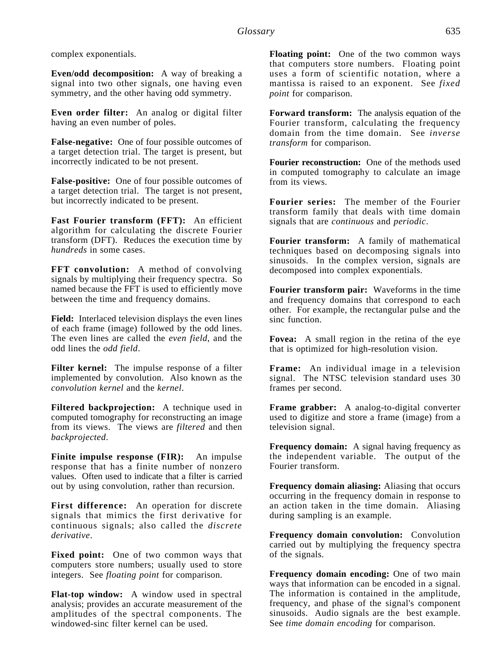complex exponentials.

**Even/odd decomposition:** A way of breaking a signal into two other signals, one having even symmetry, and the other having odd symmetry.

**Even order filter:** An analog or digital filter having an even number of poles.

**False-negative:** One of four possible outcomes of a target detection trial. The target is present, but incorrectly indicated to be not present.

**False-positive:** One of four possible outcomes of a target detection trial. The target is not present, but incorrectly indicated to be present.

**Fast Fourier transform (FFT):** An efficient algorithm for calculating the discrete Fourier transform (DFT). Reduces the execution time by *hundreds* in some cases.

**FFT convolution:** A method of convolving signals by multiplying their frequency spectra. So named because the FFT is used to efficiently move between the time and frequency domains.

**Field:** Interlaced television displays the even lines of each frame (image) followed by the odd lines. The even lines are called the *even field*, and the odd lines the *odd field*.

**Filter kernel:** The impulse response of a filter implemented by convolution. Also known as the *convolution kernel* and the *kernel*.

**Filtered backprojection:** A technique used in computed tomography for reconstructing an image from its views. The views are *filtered* and then *backprojected*.

**Finite impulse response (FIR):** An impulse response that has a finite number of nonzero values. Often used to indicate that a filter is carried out by using convolution, rather than recursion.

**First difference:** An operation for discrete signals that mimics the first derivative for continuous signals; also called the *discrete derivative*.

**Fixed point:** One of two common ways that computers store numbers; usually used to store integers. See *floating point* for comparison.

**Flat-top window:** A window used in spectral analysis; provides an accurate measurement of the amplitudes of the spectral components. The windowed-sinc filter kernel can be used.

**Floating point:** One of the two common ways that computers store numbers. Floating point uses a form of scientific notation, where a mantissa is raised to an exponent. See *fixed point* for comparison.

**Forward transform:** The analysis equation of the Fourier transform, calculating the frequency domain from the time domain. See *inverse transform* for comparison.

**Fourier reconstruction:** One of the methods used in computed tomography to calculate an image from its views.

**Fourier series:** The member of the Fourier transform family that deals with time domain signals that are *continuous* and *periodic*.

**Fourier transform:** A family of mathematical techniques based on decomposing signals into sinusoids. In the complex version, signals are decomposed into complex exponentials.

**Fourier transform pair:** Waveforms in the time and frequency domains that correspond to each other. For example, the rectangular pulse and the sinc function.

**Fovea:** A small region in the retina of the eye that is optimized for high-resolution vision.

**Frame:** An individual image in a television signal. The NTSC television standard uses 30 frames per second.

**Frame grabber:** A analog-to-digital converter used to digitize and store a frame (image) from a television signal.

**Frequency domain:** A signal having frequency as the independent variable. The output of the Fourier transform.

**Frequency domain aliasing:** Aliasing that occurs occurring in the frequency domain in response to an action taken in the time domain. Aliasing during sampling is an example.

**Frequency domain convolution:** Convolution carried out by multiplying the frequency spectra of the signals.

**Frequency domain encoding:** One of two main ways that information can be encoded in a signal. The information is contained in the amplitude, frequency, and phase of the signal's component sinusoids. Audio signals are the best example. See *time domain encoding* for comparison.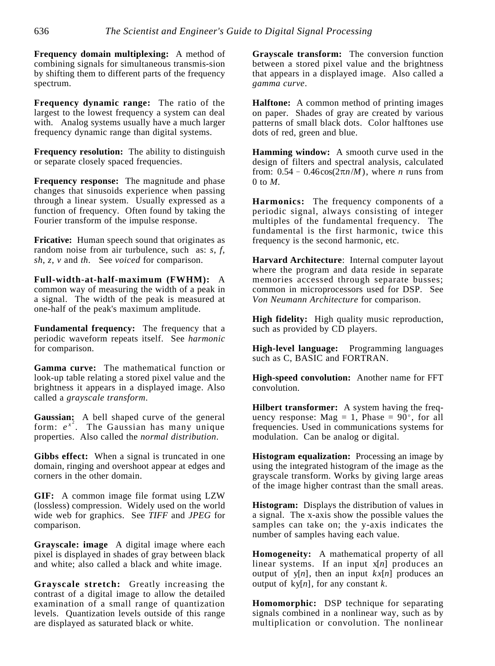**Frequency domain multiplexing:** A method of combining signals for simultaneous transmis-sion by shifting them to different parts of the frequency spectrum.

**Frequency dynamic range:** The ratio of the largest to the lowest frequency a system can deal with. Analog systems usually have a much larger frequency dynamic range than digital systems.

**Frequency resolution:** The ability to distinguish or separate closely spaced frequencies.

**Frequency response:** The magnitude and phase changes that sinusoids experience when passing through a linear system. Usually expressed as a function of frequency. Often found by taking the Fourier transform of the impulse response.

**Fricative:** Human speech sound that originates as random noise from air turbulence, such as: *s*, *f, sh*, *z*, *v* and *th*. See *voiced* for comparison.

**Full-width-at-half-maximum (FWHM):** A common way of measuring the width of a peak in a signal. The width of the peak is measured at one-half of the peak's maximum amplitude.

**Fundamental frequency:** The frequency that a periodic waveform repeats itself. See *harmonic* for comparison.

**Gamma curve:** The mathematical function or look-up table relating a stored pixel value and the brightness it appears in a displayed image. Also called a *grayscale transform*.

**Gaussian:** A bell shaped curve of the general form:  $e^{x^2}$ . The Gaussian has many unique properties. Also called the *normal distribution*.

**Gibbs effect:** When a signal is truncated in one domain, ringing and overshoot appear at edges and corners in the other domain.

**GIF:** A common image file format using LZW (lossless) compression. Widely used on the world wide web for graphics. See *TIFF* and *JPEG* for comparison.

**Grayscale: image** A digital image where each pixel is displayed in shades of gray between black and white; also called a black and white image.

**Grayscale stretch:** Greatly increasing the contrast of a digital image to allow the detailed examination of a small range of quantization levels. Quantization levels outside of this range are displayed as saturated black or white.

**Grayscale transform:** The conversion function between a stored pixel value and the brightness that appears in a displayed image. Also called a *gamma curve*.

**Halftone:** A common method of printing images on paper. Shades of gray are created by various patterns of small black dots. Color halftones use dots of red, green and blue.

**Hamming window:** A smooth curve used in the design of filters and spectral analysis, calculated from:  $0.54 - 0.46 \cos(2\pi n/M)$ , where *n* runs from 0 to *M*.

**Harmonics:** The frequency components of a periodic signal, always consisting of integer multiples of the fundamental frequency. The fundamental is the first harmonic, twice this frequency is the second harmonic, etc.

**Harvard Architecture**: Internal computer layout where the program and data reside in separate memories accessed through separate busses; common in microprocessors used for DSP. See *Von Neumann Architecture* for comparison.

**High fidelity:** High quality music reproduction, such as provided by CD players.

**High-level language:** Programming languages such as C, BASIC and FORTRAN.

**High-speed convolution:** Another name for FFT convolution.

**Hilbert transformer:** A system having the frequency response: Mag = 1, Phase =  $90^{\circ}$ , for all frequencies. Used in communications systems for modulation. Can be analog or digital.

**Histogram equalization:** Processing an image by using the integrated histogram of the image as the grayscale transform. Works by giving large areas of the image higher contrast than the small areas.

**Histogram:** Displays the distribution of values in a signal. The x-axis show the possible values the samples can take on; the y-axis indicates the number of samples having each value.

**Homogeneity:** A mathematical property of all linear systems. If an input x[*n*] produces an output of  $y[n]$ , then an input  $kx[n]$  produces an output of ky[*n*], for any constant *k*.

**Homomorphic:** DSP technique for separating signals combined in a nonlinear way, such as by multiplication or convolution. The nonlinear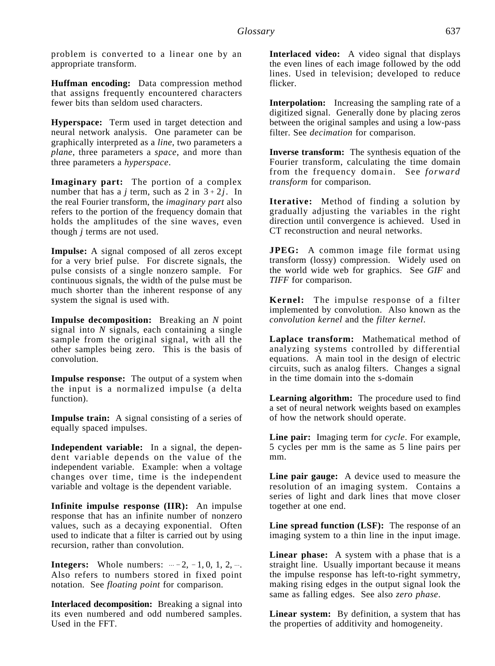problem is converted to a linear one by an appropriate transform.

**Huffman encoding:** Data compression method that assigns frequently encountered characters fewer bits than seldom used characters.

**Hyperspace:** Term used in target detection and neural network analysis. One parameter can be graphically interpreted as a *line*, two parameters a *plane*, three parameters a *space*, and more than three parameters a *hyperspace*.

**Imaginary part:** The portion of a complex number that has a *j* term, such as 2 in  $3 + 2j$ . In the real Fourier transform, the *imaginary part* also refers to the portion of the frequency domain that holds the amplitudes of the sine waves, even though *j* terms are not used.

**Impulse:** A signal composed of all zeros except for a very brief pulse. For discrete signals, the pulse consists of a single nonzero sample. For continuous signals, the width of the pulse must be much shorter than the inherent response of any system the signal is used with.

**Impulse decomposition:** Breaking an *N* point signal into *N* signals, each containing a single sample from the original signal, with all the other samples being zero. This is the basis of convolution.

**Impulse response:** The output of a system when the input is a normalized impulse (a delta function).

**Impulse train:** A signal consisting of a series of equally spaced impulses.

**Independent variable:** In a signal, the dependent variable depends on the value of the independent variable. Example: when a voltage changes over time, time is the independent variable and voltage is the dependent variable.

**Infinite impulse response (IIR):** An impulse response that has an infinite number of nonzero values, such as a decaying exponential. Often used to indicate that a filter is carried out by using recursion, rather than convolution.

**Integers:** Whole numbers:  $--2, -1, 0, 1, 2, ...$ Also refers to numbers stored in fixed point notation. See *floating point* for comparison.

**Interlaced decomposition:** Breaking a signal into its even numbered and odd numbered samples. Used in the FFT.

**Interlaced video:** A video signal that displays the even lines of each image followed by the odd lines. Used in television; developed to reduce flicker.

**Interpolation:** Increasing the sampling rate of a digitized signal. Generally done by placing zeros between the original samples and using a low-pass filter. See *decimation* for comparison.

**Inverse transform:** The synthesis equation of the Fourier transform, calculating the time domain from the frequency domain. See *forward transform* for comparison.

**Iterative:** Method of finding a solution by gradually adjusting the variables in the right direction until convergence is achieved. Used in CT reconstruction and neural networks.

**JPEG:** A common image file format using transform (lossy) compression. Widely used on the world wide web for graphics. See *GIF* and *TIFF* for comparison.

**Kernel:** The impulse response of a filter implemented by convolution. Also known as the *convolution kernel* and the *filter kernel*.

**Laplace transform:** Mathematical method of analyzing systems controlled by differential equations. A main tool in the design of electric circuits, such as analog filters. Changes a signal in the time domain into the s-domain

**Learning algorithm:** The procedure used to find a set of neural network weights based on examples of how the network should operate.

**Line pair:** Imaging term for *cycle*. For example, 5 cycles per mm is the same as 5 line pairs per mm.

**Line pair gauge:** A device used to measure the resolution of an imaging system. Contains a series of light and dark lines that move closer together at one end.

**Line spread function (LSF):** The response of an imaging system to a thin line in the input image.

**Linear phase:** A system with a phase that is a straight line. Usually important because it means the impulse response has left-to-right symmetry, making rising edges in the output signal look the same as falling edges. See also *zero phase*.

**Linear system:** By definition, a system that has the properties of additivity and homogeneity.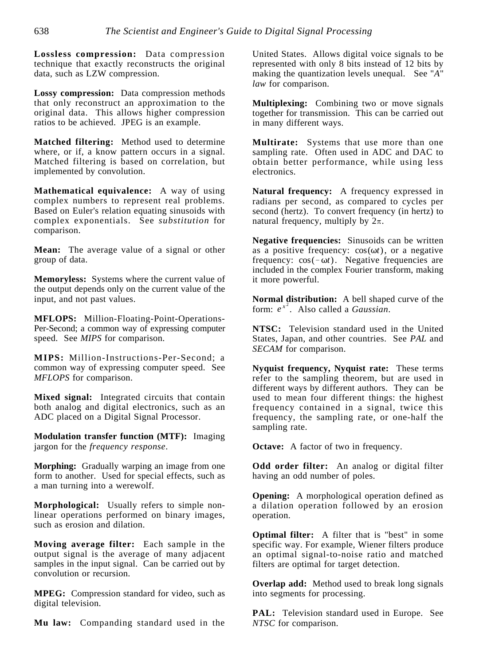**Lossless compression:** Data compression technique that exactly reconstructs the original data, such as LZW compression.

**Lossy compression:** Data compression methods that only reconstruct an approximation to the original data. This allows higher compression ratios to be achieved. JPEG is an example.

**Matched filtering:** Method used to determine where, or if, a know pattern occurs in a signal. Matched filtering is based on correlation, but implemented by convolution.

**Mathematical equivalence:** A way of using complex numbers to represent real problems. Based on Euler's relation equating sinusoids with complex exponentials. See *substitution* for comparison.

**Mean:** The average value of a signal or other group of data.

**Memoryless:** Systems where the current value of the output depends only on the current value of the input, and not past values.

**MFLOPS:** Million-Floating-Point-Operations-Per-Second; a common way of expressing computer speed. See *MIPS* for comparison.

**MIPS:** Million-Instructions-Per-Second; a common way of expressing computer speed. See *MFLOPS* for comparison.

**Mixed signal:** Integrated circuits that contain both analog and digital electronics, such as an ADC placed on a Digital Signal Processor.

**Modulation transfer function (MTF):** Imaging jargon for the *frequency response*.

**Morphing:** Gradually warping an image from one form to another. Used for special effects, such as a man turning into a werewolf.

**Morphological:** Usually refers to simple nonlinear operations performed on binary images, such as erosion and dilation.

**Moving average filter:** Each sample in the output signal is the average of many adjacent samples in the input signal. Can be carried out by convolution or recursion.

**MPEG:** Compression standard for video, such as digital television.

**Mu law:** Companding standard used in the

United States. Allows digital voice signals to be represented with only 8 bits instead of 12 bits by making the quantization levels unequal. See "*A*" *law* for comparison.

**Multiplexing:** Combining two or move signals together for transmission. This can be carried out in many different ways.

**Multirate:** Systems that use more than one sampling rate. Often used in ADC and DAC to obtain better performance, while using less electronics.

**Natural frequency:** A frequency expressed in radians per second, as compared to cycles per second (hertz). To convert frequency (in hertz) to natural frequency, multiply by  $2\pi$ .

**Negative frequencies:** Sinusoids can be written as a positive frequency:  $cos(\omega t)$ , or a negative frequency:  $cos(-\omega t)$ . Negative frequencies are included in the complex Fourier transform, making it more powerful.

**Normal distribution:** A bell shaped curve of the form:  $e^{x^2}$ . Also called a *Gaussian*.

**NTSC:** Television standard used in the United States, Japan, and other countries. See *PAL* and *SECAM* for comparison.

**Nyquist frequency, Nyquist rate:** These terms refer to the sampling theorem, but are used in different ways by different authors. They can be used to mean four different things: the highest frequency contained in a signal, twice this frequency, the sampling rate, or one-half the sampling rate.

**Octave:** A factor of two in frequency.

**Odd order filter:** An analog or digital filter having an odd number of poles.

**Opening:** A morphological operation defined as a dilation operation followed by an erosion operation.

**Optimal filter:** A filter that is "best" in some specific way. For example, Wiener filters produce an optimal signal-to-noise ratio and matched filters are optimal for target detection.

**Overlap add:** Method used to break long signals into segments for processing.

**PAL:** Television standard used in Europe. See *NTSC* for comparison.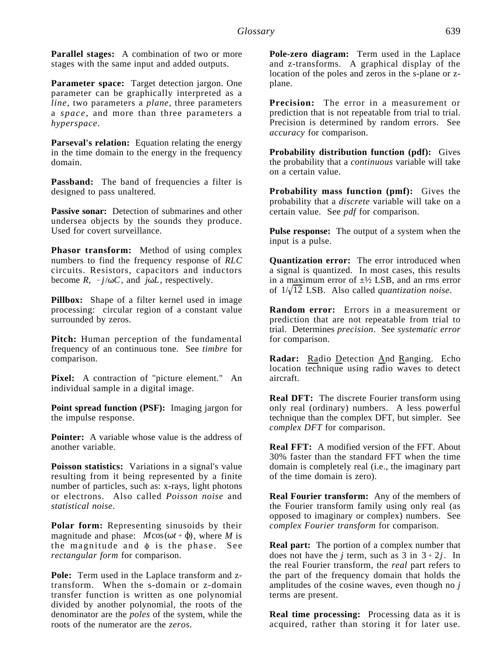**Parallel stages:** A combination of two or more stages with the same input and added outputs.

**Parameter space:** Target detection jargon. One parameter can be graphically interpreted as a *line*, two parameters a *plane*, three parameters a *space*, and more than three parameters a *hyperspace*.

**Parseval's relation:** Equation relating the energy in the time domain to the energy in the frequency domain.

**Passband:** The band of frequencies a filter is designed to pass unaltered.

**Passive sonar:** Detection of submarines and other undersea objects by the sounds they produce. Used for covert surveillance.

**Phasor transform:** Method of using complex numbers to find the frequency response of *RLC* circuits. Resistors, capacitors and inductors become  $R$ ,  $-j/\omega C$ , and  $j\omega L$ , respectively.

**Pillbox:** Shape of a filter kernel used in image processing: circular region of a constant value surrounded by zeros.

**Pitch:** Human perception of the fundamental frequency of an continuous tone. See *timbre* for comparison.

**Pixel:** A contraction of "picture element." An individual sample in a digital image.

**Point spread function (PSF):** Imaging jargon for the impulse response.

**Pointer:** A variable whose value is the address of another variable.

**Poisson statistics:** Variations in a signal's value resulting from it being represented by a finite number of particles, such as: x-rays, light photons or electrons. Also called *Poisson noise* and *statistical noise*.

**Polar form:** Representing sinusoids by their magnitude and phase:  $M\cos(\omega t + \phi)$ , where *M* is the magnitude and  $\phi$  is the phase. See *rectangular form* for comparison.

**Pole:** Term used in the Laplace transform and ztransform. When the s-domain or z-domain transfer function is written as one polynomial divided by another polynomial, the roots of the denominator are the *poles* of the system, while the roots of the numerator are the *zeros*.

**Pole-zero diagram:** Term used in the Laplace and z-transforms. A graphical display of the location of the poles and zeros in the s-plane or zplane.

**Precision:** The error in a measurement or prediction that is not repeatable from trial to trial. Precision is determined by random errors. See *accuracy* for comparison.

**Probability distribution function (pdf):** Gives the probability that a *continuous* variable will take on a certain value.

**Probability mass function (pmf):** Gives the probability that a *discrete* variable will take on a certain value. See *pdf* for comparison.

**Pulse response:** The output of a system when the input is a pulse.

**Quantization error:** The error introduced when a signal is quantized. In most cases, this results in a maximum error of  $\pm$ <sup>1</sup>/<sub>2</sub> LSB, and an rms error of  $1/\sqrt{12}$  LSB. Also called *quantization noise*.

**Random error:** Errors in a measurement or prediction that are not repeatable from trial to trial. Determines *precision*. See *systematic error* for comparison.

**Radar:** Radio Detection And Ranging. Echo location technique using radio waves to detect aircraft.

**Real DFT:** The discrete Fourier transform using only real (ordinary) numbers. A less powerful technique than the complex DFT, but simpler. See *complex DFT* for comparison.

**Real FFT:** A modified version of the FFT. About 30% faster than the standard FFT when the time domain is completely real (i.e., the imaginary part of the time domain is zero).

**Real Fourier transform:** Any of the members of the Fourier transform family using only real (as opposed to imaginary or complex) numbers. See *complex Fourier transform* for comparison.

**Real part:** The portion of a complex number that does not have the *j* term, such as  $3 \text{ in } 3 + 2j$ . In the real Fourier transform, the *real* part refers to the part of the frequency domain that holds the amplitudes of the cosine waves, even though no *j* terms are present.

**Real time processing:** Processing data as it is acquired, rather than storing it for later use.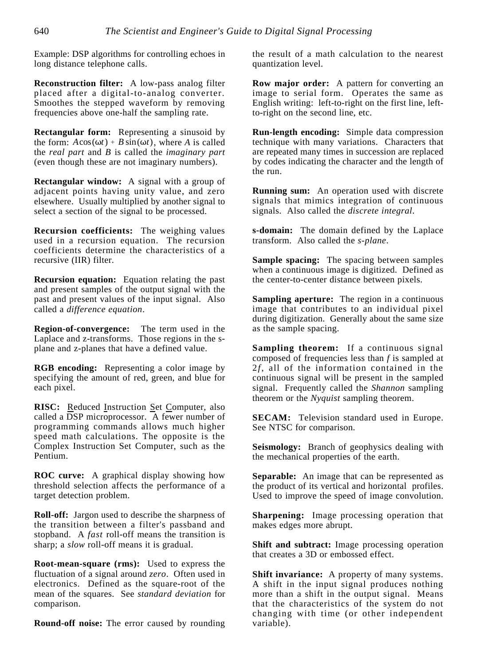Example: DSP algorithms for controlling echoes in long distance telephone calls.

**Reconstruction filter:** A low-pass analog filter placed after a digital-to-analog converter. Smoothes the stepped waveform by removing frequencies above one-half the sampling rate.

**Rectangular form:** Representing a sinusoid by the form:  $A\cos(\omega t) + B\sin(\omega t)$ , where *A* is called the *real part* and *B* is called the *imaginary part* (even though these are not imaginary numbers).

**Rectangular window:** A signal with a group of adjacent points having unity value, and zero elsewhere. Usually multiplied by another signal to select a section of the signal to be processed.

**Recursion coefficients:** The weighing values used in a recursion equation. The recursion coefficients determine the characteristics of a recursive (IIR) filter.

**Recursion equation:** Equation relating the past and present samples of the output signal with the past and present values of the input signal. Also called a *difference equation*.

**Region-of-convergence:** The term used in the Laplace and z-transforms. Those regions in the splane and z-planes that have a defined value.

**RGB encoding:** Representing a color image by specifying the amount of red, green, and blue for each pixel.

**RISC:** Reduced Instruction Set Computer, also called a DSP microprocessor. A fewer number of programming commands allows much higher speed math calculations. The opposite is the Complex Instruction Set Computer, such as the Pentium.

**ROC curve:** A graphical display showing how threshold selection affects the performance of a target detection problem.

**Roll-off:** Jargon used to describe the sharpness of the transition between a filter's passband and stopband. A *fast* roll-off means the transition is sharp; a *slow* roll-off means it is gradual.

**Root-mean-square (rms):** Used to express the fluctuation of a signal around *zero*. Often used in electronics. Defined as the square-root of the mean of the squares. See *standard deviation* for comparison.

**Round-off noise:** The error caused by rounding

the result of a math calculation to the nearest quantization level.

**Row major order:** A pattern for converting an image to serial form. Operates the same as English writing: left-to-right on the first line, leftto-right on the second line, etc.

**Run-length encoding:** Simple data compression technique with many variations. Characters that are repeated many times in succession are replaced by codes indicating the character and the length of the run.

**Running sum:** An operation used with discrete signals that mimics integration of continuous signals. Also called the *discrete integral*.

**s-domain:** The domain defined by the Laplace transform. Also called the *s-plane*.

**Sample spacing:** The spacing between samples when a continuous image is digitized. Defined as the center-to-center distance between pixels.

**Sampling aperture:** The region in a continuous image that contributes to an individual pixel during digitization. Generally about the same size as the sample spacing.

**Sampling theorem:** If a continuous signal composed of frequencies less than *f* is sampled at 2*f*, all of the information contained in the continuous signal will be present in the sampled signal. Frequently called the *Shannon* sampling theorem or the *Nyquist* sampling theorem.

**SECAM:** Television standard used in Europe. See NTSC for comparison.

**Seismology:** Branch of geophysics dealing with the mechanical properties of the earth.

**Separable:** An image that can be represented as the product of its vertical and horizontal profiles. Used to improve the speed of image convolution.

**Sharpening:** Image processing operation that makes edges more abrupt.

**Shift and subtract:** Image processing operation that creates a 3D or embossed effect.

**Shift invariance:** A property of many systems. A shift in the input signal produces nothing more than a shift in the output signal. Means that the characteristics of the system do not changing with time (or other independent variable).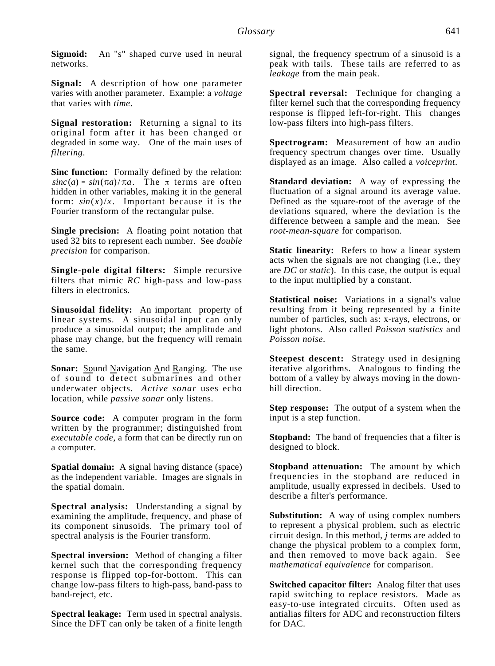**Sigmoid:** An "s" shaped curve used in neural networks.

**Signal:** A description of how one parameter varies with another parameter. Example: a *voltage* that varies with *time*.

**Signal restoration:** Returning a signal to its original form after it has been changed or degraded in some way. One of the main uses of *filtering*.

**Sinc function:** Formally defined by the relation:  $sinc(a) = sin(\pi a)/\pi a$ . The  $\pi$  terms are often hidden in other variables, making it in the general form:  $sin(x)/x$ . Important because it is the Fourier transform of the rectangular pulse.

**Single precision:** A floating point notation that used 32 bits to represent each number. See *double precision* for comparison.

**Single-pole digital filters:** Simple recursive filters that mimic *RC* high-pass and low-pass filters in electronics.

**Sinusoidal fidelity:** An important property of linear systems. A sinusoidal input can only produce a sinusoidal output; the amplitude and phase may change, but the frequency will remain the same.

**Sonar:** Sound Navigation And Ranging. The use of sound to detect submarines and other underwater objects. *Active sonar* uses echo location, while *passive sonar* only listens.

**Source code:** A computer program in the form written by the programmer; distinguished from *executable code*, a form that can be directly run on a computer.

**Spatial domain:** A signal having distance (space) as the independent variable. Images are signals in the spatial domain.

**Spectral analysis:** Understanding a signal by examining the amplitude, frequency, and phase of its component sinusoids. The primary tool of spectral analysis is the Fourier transform.

**Spectral inversion:** Method of changing a filter kernel such that the corresponding frequency response is flipped top-for-bottom. This can change low-pass filters to high-pass, band-pass to band-reject, etc.

**Spectral leakage:** Term used in spectral analysis. Since the DFT can only be taken of a finite length signal, the frequency spectrum of a sinusoid is a peak with tails. These tails are referred to as *leakage* from the main peak.

**Spectral reversal:** Technique for changing a filter kernel such that the corresponding frequency response is flipped left-for-right. This changes low-pass filters into high-pass filters.

**Spectrogram:** Measurement of how an audio frequency spectrum changes over time. Usually displayed as an image. Also called a *voiceprint*.

**Standard deviation:** A way of expressing the fluctuation of a signal around its average value. Defined as the square-root of the average of the deviations squared, where the deviation is the difference between a sample and the mean. See *root-mean-square* for comparison.

**Static linearity:** Refers to how a linear system acts when the signals are not changing (i.e., they are *DC* or *static*). In this case, the output is equal to the input multiplied by a constant.

**Statistical noise:** Variations in a signal's value resulting from it being represented by a finite number of particles, such as: x-rays, electrons, or light photons. Also called *Poisson statistics* and *Poisson noise*.

**Steepest descent:** Strategy used in designing iterative algorithms. Analogous to finding the bottom of a valley by always moving in the downhill direction.

**Step response:** The output of a system when the input is a step function.

**Stopband:** The band of frequencies that a filter is designed to block.

**Stopband attenuation:** The amount by which frequencies in the stopband are reduced in amplitude, usually expressed in decibels. Used to describe a filter's performance.

**Substitution:** A way of using complex numbers to represent a physical problem, such as electric circuit design. In this method, *j* terms are added to change the physical problem to a complex form, and then removed to move back again. See *mathematical equivalence* for comparison.

**Switched capacitor filter:** Analog filter that uses rapid switching to replace resistors. Made as easy-to-use integrated circuits. Often used as antialias filters for ADC and reconstruction filters for DAC.